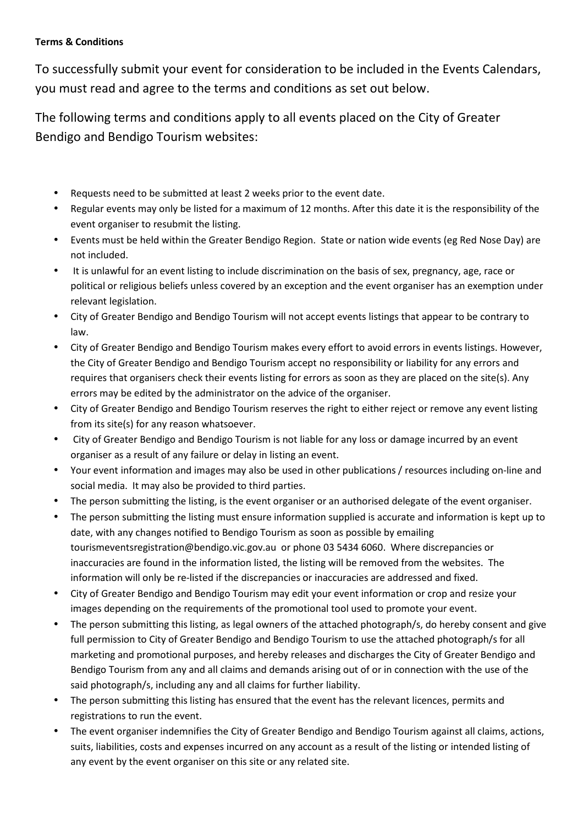## **Terms & Conditions**

To successfully submit your event for consideration to be included in the Events Calendars, you must read and agree to the terms and conditions as set out below.

The following terms and conditions apply to all events placed on the City of Greater Bendigo and Bendigo Tourism websites:

- Requests need to be submitted at least 2 weeks prior to the event date.
- Regular events may only be listed for a maximum of 12 months. After this date it is the responsibility of the event organiser to resubmit the listing.
- Events must be held within the Greater Bendigo Region. State or nation wide events (eg Red Nose Day) are not included.
- It is unlawful for an event listing to include discrimination on the basis of sex, pregnancy, age, race or political or religious beliefs unless covered by an exception and the event organiser has an exemption under relevant legislation.
- City of Greater Bendigo and Bendigo Tourism will not accept events listings that appear to be contrary to law.
- City of Greater Bendigo and Bendigo Tourism makes every effort to avoid errors in events listings. However, the City of Greater Bendigo and Bendigo Tourism accept no responsibility or liability for any errors and requires that organisers check their events listing for errors as soon as they are placed on the site(s). Any errors may be edited by the administrator on the advice of the organiser.
- City of Greater Bendigo and Bendigo Tourism reserves the right to either reject or remove any event listing from its site(s) for any reason whatsoever.
- City of Greater Bendigo and Bendigo Tourism is not liable for any loss or damage incurred by an event organiser as a result of any failure or delay in listing an event.
- Your event information and images may also be used in other publications / resources including on-line and social media. It may also be provided to third parties.
- The person submitting the listing, is the event organiser or an authorised delegate of the event organiser.
- The person submitting the listing must ensure information supplied is accurate and information is kept up to date, with any changes notified to Bendigo Tourism as soon as possible by emailing tourismeventsregistration@bendigo.vic.gov.au or phone 03 5434 6060. Where discrepancies or inaccuracies are found in the information listed, the listing will be removed from the websites. The information will only be re-listed if the discrepancies or inaccuracies are addressed and fixed.
- City of Greater Bendigo and Bendigo Tourism may edit your event information or crop and resize your images depending on the requirements of the promotional tool used to promote your event.
- The person submitting this listing, as legal owners of the attached photograph/s, do hereby consent and give full permission to City of Greater Bendigo and Bendigo Tourism to use the attached photograph/s for all marketing and promotional purposes, and hereby releases and discharges the City of Greater Bendigo and Bendigo Tourism from any and all claims and demands arising out of or in connection with the use of the said photograph/s, including any and all claims for further liability.
- The person submitting this listing has ensured that the event has the relevant licences, permits and registrations to run the event.
- The event organiser indemnifies the City of Greater Bendigo and Bendigo Tourism against all claims, actions, suits, liabilities, costs and expenses incurred on any account as a result of the listing or intended listing of any event by the event organiser on this site or any related site.